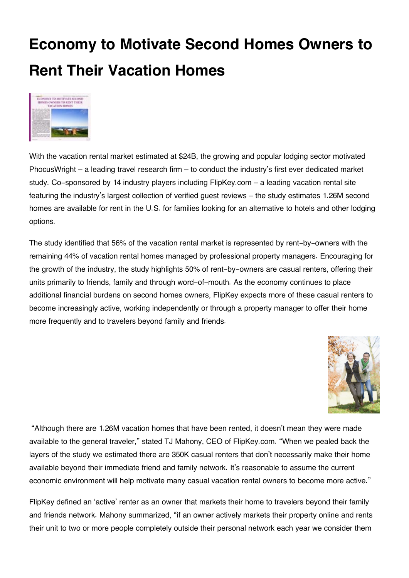## **Economy to Motivate Second Homes Owners to Rent Their Vacation Homes**



With the vacation rental market estimated at \$24B, the growing and popular lodging sector motivated PhocusWright – a leading travel research firm – to conduct the industry's first ever dedicated market study. Co-sponsored by 14 industry players including FlipKey.com – a leading vacation rental site featuring the industry's largest collection of verified guest reviews – the study estimates 1.26M second homes are available for rent in the U.S. for families looking for an alternative to hotels and other lodging options.

The study identified that 56% of the vacation rental market is represented by rent-by-owners with the remaining 44% of vacation rental homes managed by professional property managers. Encouraging for the growth of the industry, the study highlights 50% of rent-by-owners are casual renters, offering their units primarily to friends, family and through word-of-mouth. As the economy continues to place additional financial burdens on second homes owners, FlipKey expects more of these casual renters to become increasingly active, working independently or through a property manager to offer their home more frequently and to travelers beyond family and friends.



 "Although there are 1.26M vacation homes that have been rented, it doesn't mean they were made available to the general traveler," stated TJ Mahony, CEO of FlipKey.com. "When we pealed back the layers of the study we estimated there are 350K casual renters that don't necessarily make their home available beyond their immediate friend and family network. It's reasonable to assume the current economic environment will help motivate many casual vacation rental owners to become more active."

FlipKey defined an 'active' renter as an owner that markets their home to travelers beyond their family and friends network. Mahony summarized, "if an owner actively markets their property online and rents their unit to two or more people completely outside their personal network each year we consider them